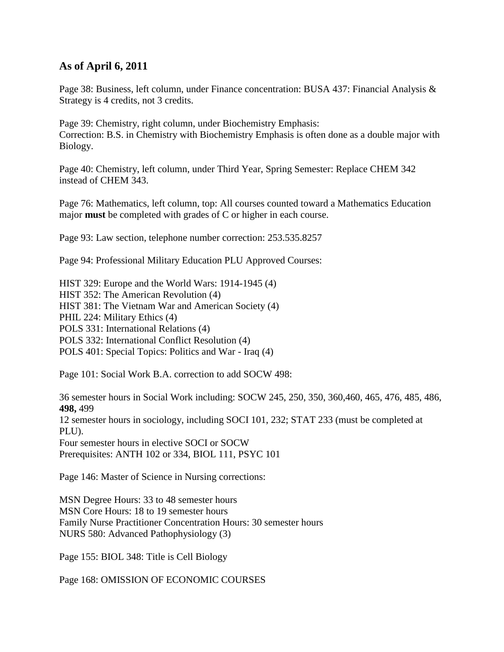## **As of April 6, 2011**

Page 38: Business, left column, under Finance concentration: BUSA 437: Financial Analysis & Strategy is 4 credits, not 3 credits.

Page 39: Chemistry, right column, under Biochemistry Emphasis: Correction: B.S. in Chemistry with Biochemistry Emphasis is often done as a double major with Biology.

Page 40: Chemistry, left column, under Third Year, Spring Semester: Replace CHEM 342 instead of CHEM 343.

Page 76: Mathematics, left column, top: All courses counted toward a Mathematics Education major **must** be completed with grades of C or higher in each course.

Page 93: Law section, telephone number correction: 253.535.8257

Page 94: Professional Military Education PLU Approved Courses:

HIST 329: Europe and the World Wars: 1914-1945 (4) HIST 352: The American Revolution (4) HIST 381: The Vietnam War and American Society (4) PHIL 224: Military Ethics (4) POLS 331: International Relations (4) POLS 332: International Conflict Resolution (4) POLS 401: Special Topics: Politics and War - Iraq (4)

Page 101: Social Work B.A. correction to add SOCW 498:

36 semester hours in Social Work including: SOCW 245, 250, 350, 360,460, 465, 476, 485, 486, **498,** 499 12 semester hours in sociology, including SOCI 101, 232; STAT 233 (must be completed at PLU). Four semester hours in elective SOCI or SOCW Prerequisites: ANTH 102 or 334, BIOL 111, PSYC 101

Page 146: Master of Science in Nursing corrections:

MSN Degree Hours: 33 to 48 semester hours MSN Core Hours: 18 to 19 semester hours Family Nurse Practitioner Concentration Hours: 30 semester hours NURS 580: Advanced Pathophysiology (3)

Page 155: BIOL 348: Title is Cell Biology

Page 168: OMISSION OF ECONOMIC COURSES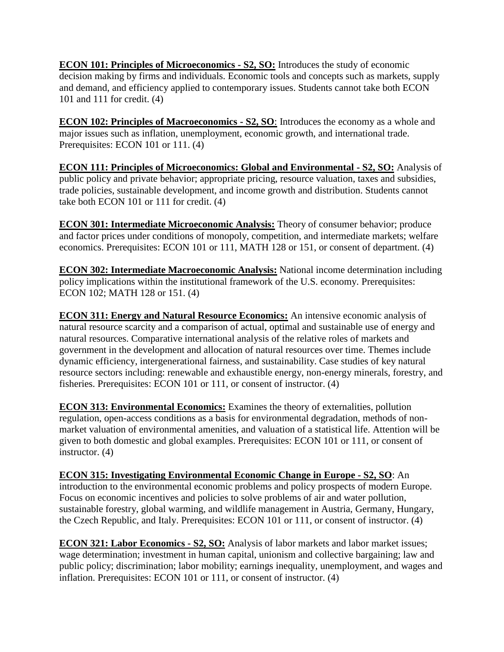**ECON 101: Principles of Microeconomics - S2, SO:** Introduces the study of economic decision making by firms and individuals. Economic tools and concepts such as markets, supply and demand, and efficiency applied to contemporary issues. Students cannot take both ECON 101 and 111 for credit. (4)

**ECON 102: Principles of Macroeconomics - S2, SO**: Introduces the economy as a whole and major issues such as inflation, unemployment, economic growth, and international trade. Prerequisites: ECON 101 or 111. (4)

**ECON 111: Principles of Microeconomics: Global and Environmental - S2, SO:** Analysis of public policy and private behavior; appropriate pricing, resource valuation, taxes and subsidies, trade policies, sustainable development, and income growth and distribution. Students cannot take both ECON 101 or 111 for credit. (4)

**ECON 301: Intermediate Microeconomic Analysis:** Theory of consumer behavior; produce and factor prices under conditions of monopoly, competition, and intermediate markets; welfare economics. Prerequisites: ECON 101 or 111, MATH 128 or 151, or consent of department. (4)

**ECON 302: Intermediate Macroeconomic Analysis:** National income determination including policy implications within the institutional framework of the U.S. economy. Prerequisites: ECON 102; MATH 128 or 151. (4)

**ECON 311: Energy and Natural Resource Economics:** An intensive economic analysis of natural resource scarcity and a comparison of actual, optimal and sustainable use of energy and natural resources. Comparative international analysis of the relative roles of markets and government in the development and allocation of natural resources over time. Themes include dynamic efficiency, intergenerational fairness, and sustainability. Case studies of key natural resource sectors including: renewable and exhaustible energy, non-energy minerals, forestry, and fisheries. Prerequisites: ECON 101 or 111, or consent of instructor. (4)

**ECON 313: Environmental Economics:** Examines the theory of externalities, pollution regulation, open-access conditions as a basis for environmental degradation, methods of nonmarket valuation of environmental amenities, and valuation of a statistical life. Attention will be given to both domestic and global examples. Prerequisites: ECON 101 or 111, or consent of instructor. (4)

**ECON 315: Investigating Environmental Economic Change in Europe - S2, SO**: An introduction to the environmental economic problems and policy prospects of modern Europe. Focus on economic incentives and policies to solve problems of air and water pollution, sustainable forestry, global warming, and wildlife management in Austria, Germany, Hungary, the Czech Republic, and Italy. Prerequisites: ECON 101 or 111, or consent of instructor. (4)

**ECON 321: Labor Economics - S2, SO:** Analysis of labor markets and labor market issues; wage determination; investment in human capital, unionism and collective bargaining; law and public policy; discrimination; labor mobility; earnings inequality, unemployment, and wages and inflation. Prerequisites: ECON 101 or 111, or consent of instructor. (4)